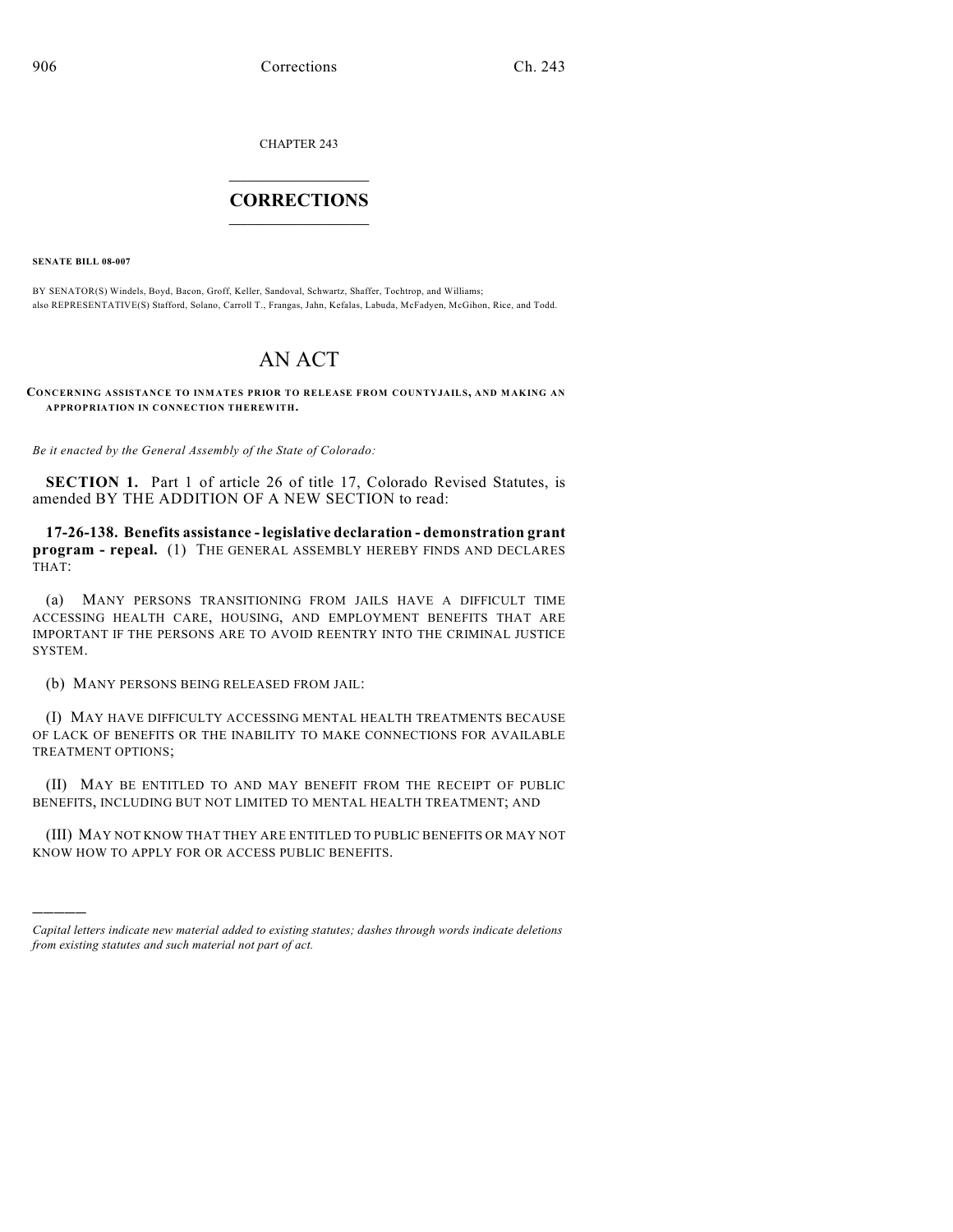CHAPTER 243

## $\mathcal{L}_\text{max}$  . The set of the set of the set of the set of the set of the set of the set of the set of the set of the set of the set of the set of the set of the set of the set of the set of the set of the set of the set **CORRECTIONS**  $\frac{1}{2}$  ,  $\frac{1}{2}$  ,  $\frac{1}{2}$  ,  $\frac{1}{2}$  ,  $\frac{1}{2}$  ,  $\frac{1}{2}$

**SENATE BILL 08-007**

)))))

BY SENATOR(S) Windels, Boyd, Bacon, Groff, Keller, Sandoval, Schwartz, Shaffer, Tochtrop, and Williams; also REPRESENTATIVE(S) Stafford, Solano, Carroll T., Frangas, Jahn, Kefalas, Labuda, McFadyen, McGihon, Rice, and Todd.

## AN ACT

**CONCERNING ASSISTANCE TO INMATES PRIOR TO RELEASE FROM COUNTYJAILS, AND MAKING AN APPROPRIATION IN CONNECTION THEREWITH.**

*Be it enacted by the General Assembly of the State of Colorado:*

**SECTION 1.** Part 1 of article 26 of title 17, Colorado Revised Statutes, is amended BY THE ADDITION OF A NEW SECTION to read:

**17-26-138. Benefits assistance - legislative declaration - demonstration grant program - repeal.** (1) THE GENERAL ASSEMBLY HEREBY FINDS AND DECLARES THAT:

(a) MANY PERSONS TRANSITIONING FROM JAILS HAVE A DIFFICULT TIME ACCESSING HEALTH CARE, HOUSING, AND EMPLOYMENT BENEFITS THAT ARE IMPORTANT IF THE PERSONS ARE TO AVOID REENTRY INTO THE CRIMINAL JUSTICE SYSTEM.

(b) MANY PERSONS BEING RELEASED FROM JAIL:

(I) MAY HAVE DIFFICULTY ACCESSING MENTAL HEALTH TREATMENTS BECAUSE OF LACK OF BENEFITS OR THE INABILITY TO MAKE CONNECTIONS FOR AVAILABLE TREATMENT OPTIONS;

(II) MAY BE ENTITLED TO AND MAY BENEFIT FROM THE RECEIPT OF PUBLIC BENEFITS, INCLUDING BUT NOT LIMITED TO MENTAL HEALTH TREATMENT; AND

(III) MAY NOT KNOW THAT THEY ARE ENTITLED TO PUBLIC BENEFITS OR MAY NOT KNOW HOW TO APPLY FOR OR ACCESS PUBLIC BENEFITS.

*Capital letters indicate new material added to existing statutes; dashes through words indicate deletions from existing statutes and such material not part of act.*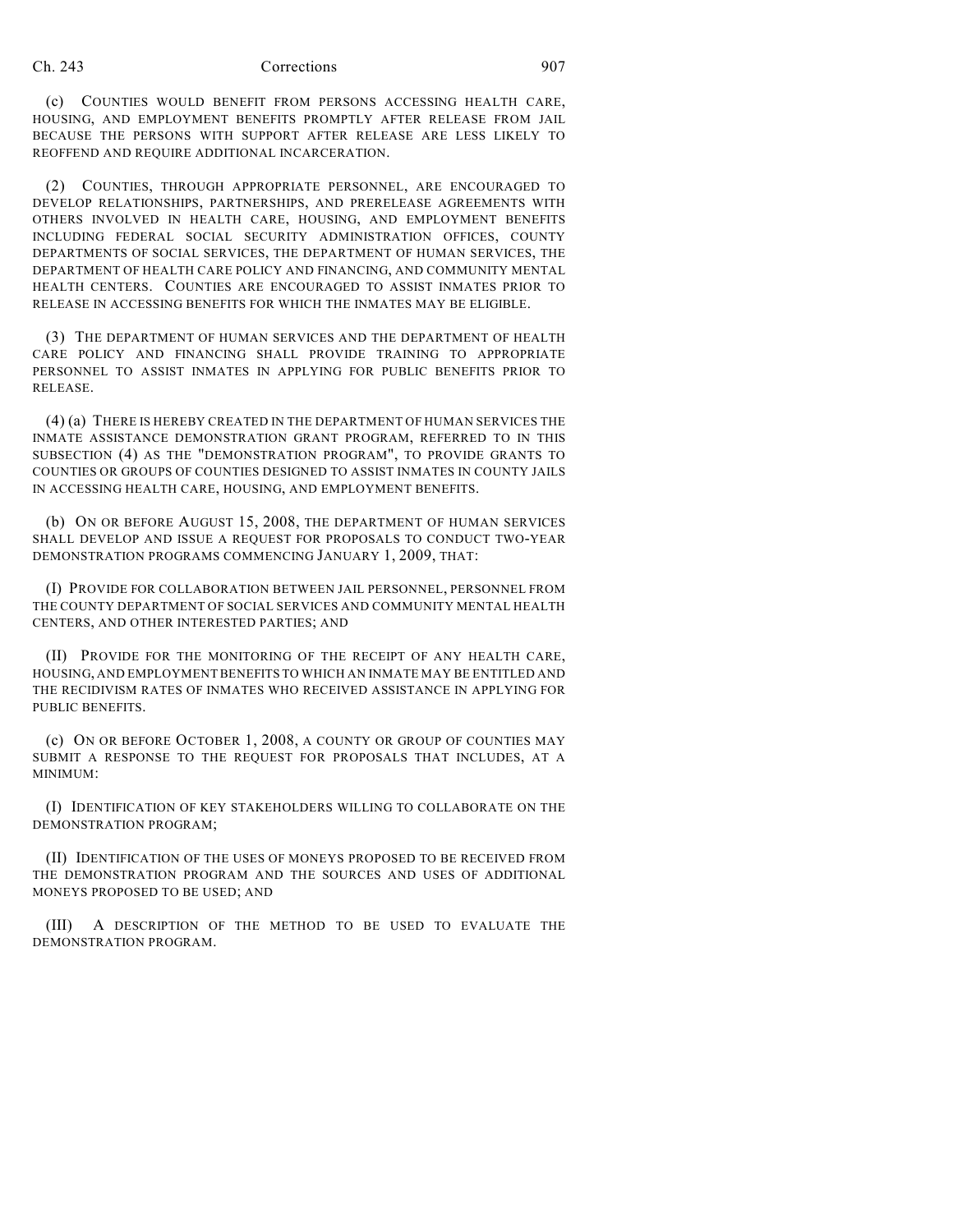## Ch. 243 Corrections 907

(c) COUNTIES WOULD BENEFIT FROM PERSONS ACCESSING HEALTH CARE, HOUSING, AND EMPLOYMENT BENEFITS PROMPTLY AFTER RELEASE FROM JAIL BECAUSE THE PERSONS WITH SUPPORT AFTER RELEASE ARE LESS LIKELY TO REOFFEND AND REQUIRE ADDITIONAL INCARCERATION.

(2) COUNTIES, THROUGH APPROPRIATE PERSONNEL, ARE ENCOURAGED TO DEVELOP RELATIONSHIPS, PARTNERSHIPS, AND PRERELEASE AGREEMENTS WITH OTHERS INVOLVED IN HEALTH CARE, HOUSING, AND EMPLOYMENT BENEFITS INCLUDING FEDERAL SOCIAL SECURITY ADMINISTRATION OFFICES, COUNTY DEPARTMENTS OF SOCIAL SERVICES, THE DEPARTMENT OF HUMAN SERVICES, THE DEPARTMENT OF HEALTH CARE POLICY AND FINANCING, AND COMMUNITY MENTAL HEALTH CENTERS. COUNTIES ARE ENCOURAGED TO ASSIST INMATES PRIOR TO RELEASE IN ACCESSING BENEFITS FOR WHICH THE INMATES MAY BE ELIGIBLE.

(3) THE DEPARTMENT OF HUMAN SERVICES AND THE DEPARTMENT OF HEALTH CARE POLICY AND FINANCING SHALL PROVIDE TRAINING TO APPROPRIATE PERSONNEL TO ASSIST INMATES IN APPLYING FOR PUBLIC BENEFITS PRIOR TO RELEASE.

(4) (a) THERE IS HEREBY CREATED IN THE DEPARTMENT OF HUMAN SERVICES THE INMATE ASSISTANCE DEMONSTRATION GRANT PROGRAM, REFERRED TO IN THIS SUBSECTION (4) AS THE "DEMONSTRATION PROGRAM", TO PROVIDE GRANTS TO COUNTIES OR GROUPS OF COUNTIES DESIGNED TO ASSIST INMATES IN COUNTY JAILS IN ACCESSING HEALTH CARE, HOUSING, AND EMPLOYMENT BENEFITS.

(b) ON OR BEFORE AUGUST 15, 2008, THE DEPARTMENT OF HUMAN SERVICES SHALL DEVELOP AND ISSUE A REQUEST FOR PROPOSALS TO CONDUCT TWO-YEAR DEMONSTRATION PROGRAMS COMMENCING JANUARY 1, 2009, THAT:

(I) PROVIDE FOR COLLABORATION BETWEEN JAIL PERSONNEL, PERSONNEL FROM THE COUNTY DEPARTMENT OF SOCIAL SERVICES AND COMMUNITY MENTAL HEALTH CENTERS, AND OTHER INTERESTED PARTIES; AND

(II) PROVIDE FOR THE MONITORING OF THE RECEIPT OF ANY HEALTH CARE, HOUSING, AND EMPLOYMENT BENEFITS TO WHICH AN INMATE MAY BE ENTITLED AND THE RECIDIVISM RATES OF INMATES WHO RECEIVED ASSISTANCE IN APPLYING FOR PUBLIC BENEFITS.

(c) ON OR BEFORE OCTOBER 1, 2008, A COUNTY OR GROUP OF COUNTIES MAY SUBMIT A RESPONSE TO THE REQUEST FOR PROPOSALS THAT INCLUDES, AT A MINIMI<sub>IM</sub>·

(I) IDENTIFICATION OF KEY STAKEHOLDERS WILLING TO COLLABORATE ON THE DEMONSTRATION PROGRAM;

(II) IDENTIFICATION OF THE USES OF MONEYS PROPOSED TO BE RECEIVED FROM THE DEMONSTRATION PROGRAM AND THE SOURCES AND USES OF ADDITIONAL MONEYS PROPOSED TO BE USED; AND

(III) A DESCRIPTION OF THE METHOD TO BE USED TO EVALUATE THE DEMONSTRATION PROGRAM.